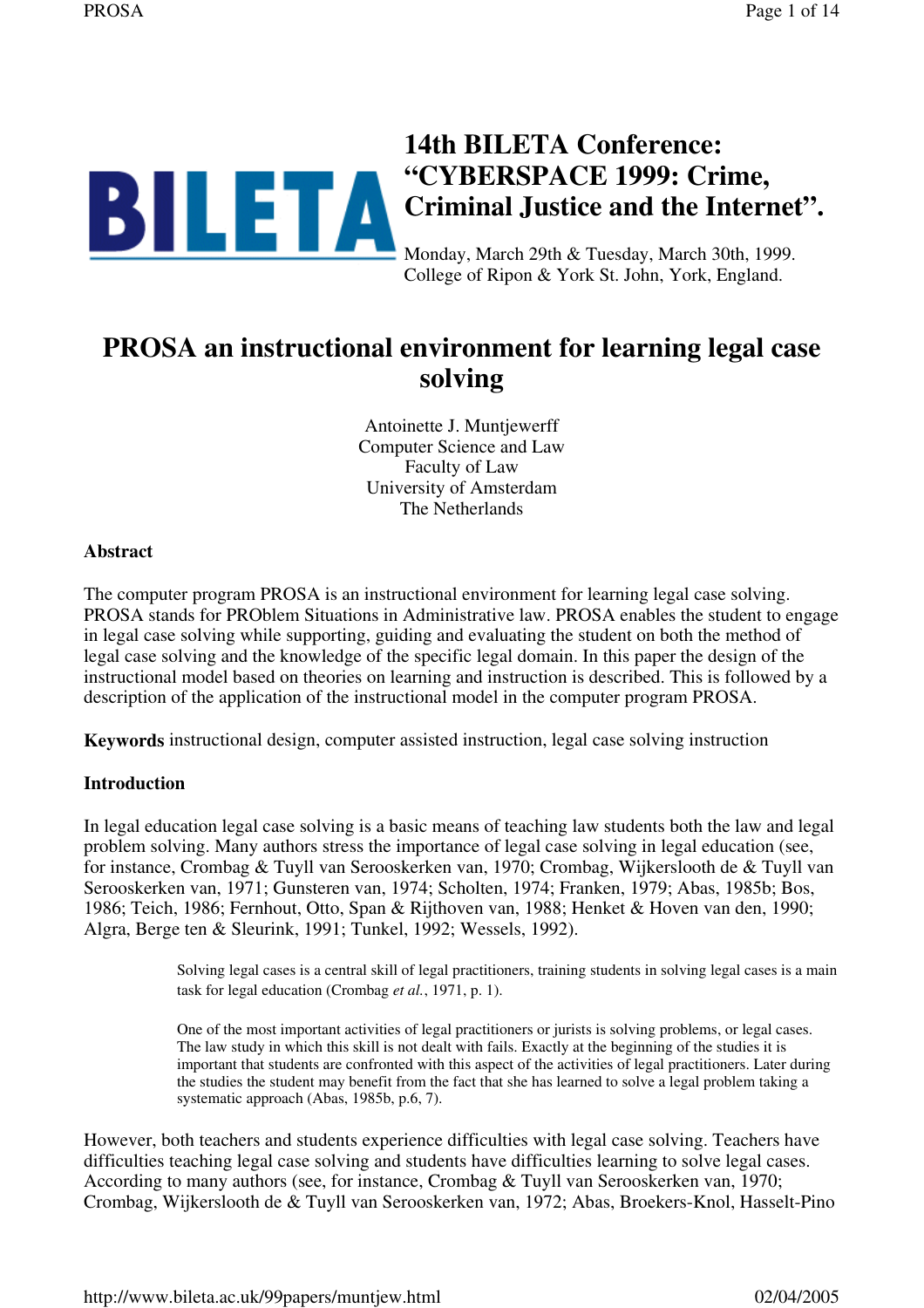

# **PROSA an instructional environment for learning legal case solving**

Antoinette J. Muntjewerff Computer Science and Law Faculty of Law University of Amsterdam The Netherlands

### **Abstract**

The computer program PROSA is an instructional environment for learning legal case solving. PROSA stands for PROblem Situations in Administrative law. PROSA enables the student to engage in legal case solving while supporting, guiding and evaluating the student on both the method of legal case solving and the knowledge of the specific legal domain. In this paper the design of the instructional model based on theories on learning and instruction is described. This is followed by a description of the application of the instructional model in the computer program PROSA.

**Keywords** instructional design, computer assisted instruction, legal case solving instruction

### **Introduction**

In legal education legal case solving is a basic means of teaching law students both the law and legal problem solving. Many authors stress the importance of legal case solving in legal education (see, for instance, Crombag & Tuyll van Serooskerken van, 1970; Crombag, Wijkerslooth de & Tuyll van Serooskerken van, 1971; Gunsteren van, 1974; Scholten, 1974; Franken, 1979; Abas, 1985b; Bos, 1986; Teich, 1986; Fernhout, Otto, Span & Rijthoven van, 1988; Henket & Hoven van den, 1990; Algra, Berge ten & Sleurink, 1991; Tunkel, 1992; Wessels, 1992).

> Solving legal cases is a central skill of legal practitioners, training students in solving legal cases is a main task for legal education (Crombag *et al.*, 1971, p. 1).

One of the most important activities of legal practitioners or jurists is solving problems, or legal cases. The law study in which this skill is not dealt with fails. Exactly at the beginning of the studies it is important that students are confronted with this aspect of the activities of legal practitioners. Later during the studies the student may benefit from the fact that she has learned to solve a legal problem taking a systematic approach (Abas, 1985b, p.6, 7).

However, both teachers and students experience difficulties with legal case solving. Teachers have difficulties teaching legal case solving and students have difficulties learning to solve legal cases. According to many authors (see, for instance, Crombag & Tuyll van Serooskerken van, 1970; Crombag, Wijkerslooth de & Tuyll van Serooskerken van, 1972; Abas, Broekers-Knol, Hasselt-Pino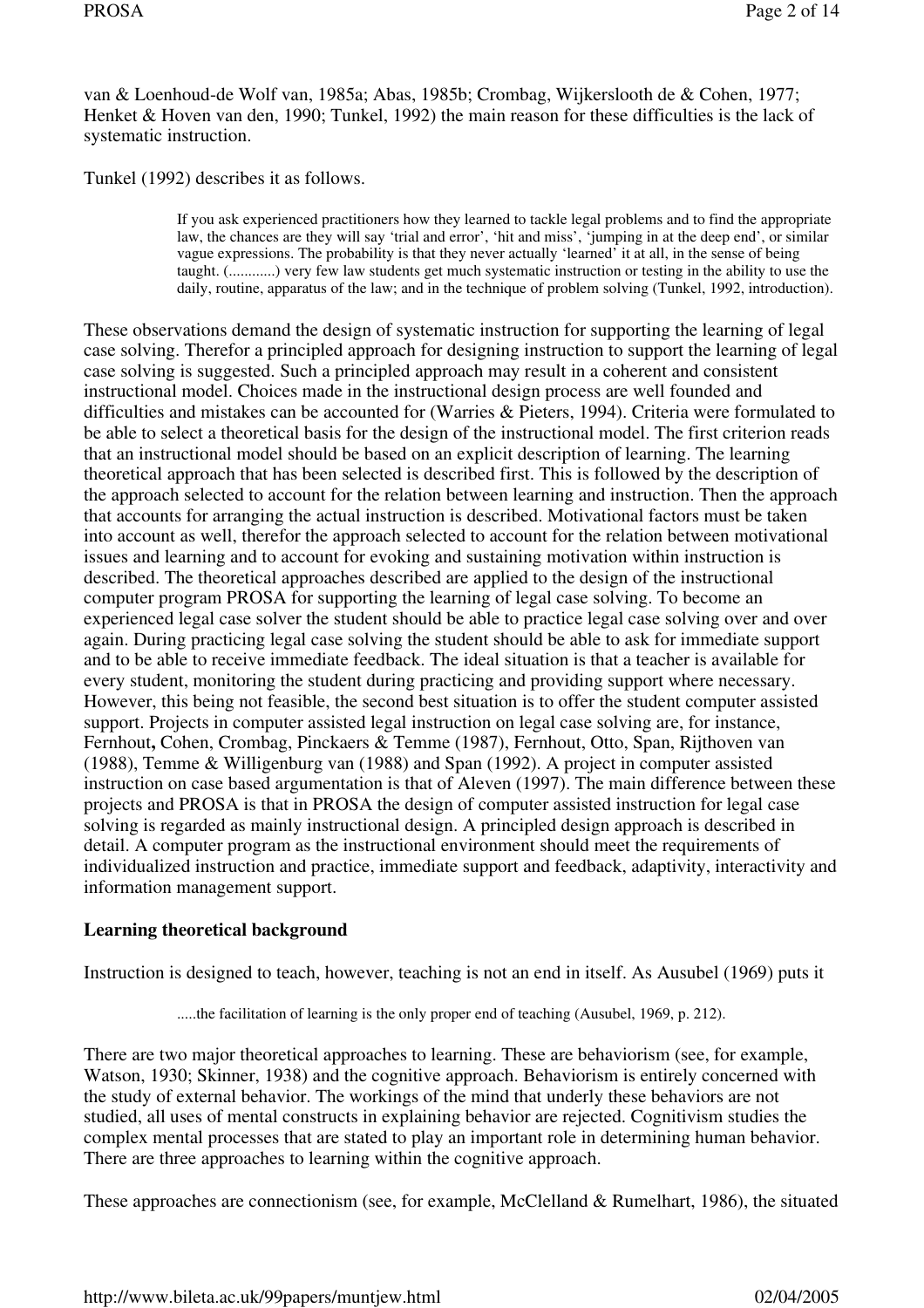van & Loenhoud-de Wolf van, 1985a; Abas, 1985b; Crombag, Wijkerslooth de & Cohen, 1977; Henket & Hoven van den, 1990; Tunkel, 1992) the main reason for these difficulties is the lack of systematic instruction.

Tunkel (1992) describes it as follows.

If you ask experienced practitioners how they learned to tackle legal problems and to find the appropriate law, the chances are they will say 'trial and error', 'hit and miss', 'jumping in at the deep end', or similar vague expressions. The probability is that they never actually 'learned' it at all, in the sense of being taught. (............) very few law students get much systematic instruction or testing in the ability to use the daily, routine, apparatus of the law; and in the technique of problem solving (Tunkel, 1992, introduction).

These observations demand the design of systematic instruction for supporting the learning of legal case solving. Therefor a principled approach for designing instruction to support the learning of legal case solving is suggested. Such a principled approach may result in a coherent and consistent instructional model. Choices made in the instructional design process are well founded and difficulties and mistakes can be accounted for (Warries & Pieters, 1994). Criteria were formulated to be able to select a theoretical basis for the design of the instructional model. The first criterion reads that an instructional model should be based on an explicit description of learning. The learning theoretical approach that has been selected is described first. This is followed by the description of the approach selected to account for the relation between learning and instruction. Then the approach that accounts for arranging the actual instruction is described. Motivational factors must be taken into account as well, therefor the approach selected to account for the relation between motivational issues and learning and to account for evoking and sustaining motivation within instruction is described. The theoretical approaches described are applied to the design of the instructional computer program PROSA for supporting the learning of legal case solving. To become an experienced legal case solver the student should be able to practice legal case solving over and over again. During practicing legal case solving the student should be able to ask for immediate support and to be able to receive immediate feedback. The ideal situation is that a teacher is available for every student, monitoring the student during practicing and providing support where necessary. However, this being not feasible, the second best situation is to offer the student computer assisted support. Projects in computer assisted legal instruction on legal case solving are, for instance, Fernhout**,** Cohen, Crombag, Pinckaers & Temme (1987), Fernhout, Otto, Span, Rijthoven van (1988), Temme & Willigenburg van (1988) and Span (1992). A project in computer assisted instruction on case based argumentation is that of Aleven (1997). The main difference between these projects and PROSA is that in PROSA the design of computer assisted instruction for legal case solving is regarded as mainly instructional design. A principled design approach is described in detail. A computer program as the instructional environment should meet the requirements of individualized instruction and practice, immediate support and feedback, adaptivity, interactivity and information management support.

## **Learning theoretical background**

Instruction is designed to teach, however, teaching is not an end in itself. As Ausubel (1969) puts it

.....the facilitation of learning is the only proper end of teaching (Ausubel, 1969, p. 212).

There are two major theoretical approaches to learning. These are behaviorism (see, for example, Watson, 1930; Skinner, 1938) and the cognitive approach. Behaviorism is entirely concerned with the study of external behavior. The workings of the mind that underly these behaviors are not studied, all uses of mental constructs in explaining behavior are rejected. Cognitivism studies the complex mental processes that are stated to play an important role in determining human behavior. There are three approaches to learning within the cognitive approach.

These approaches are connectionism (see, for example, McClelland & Rumelhart, 1986), the situated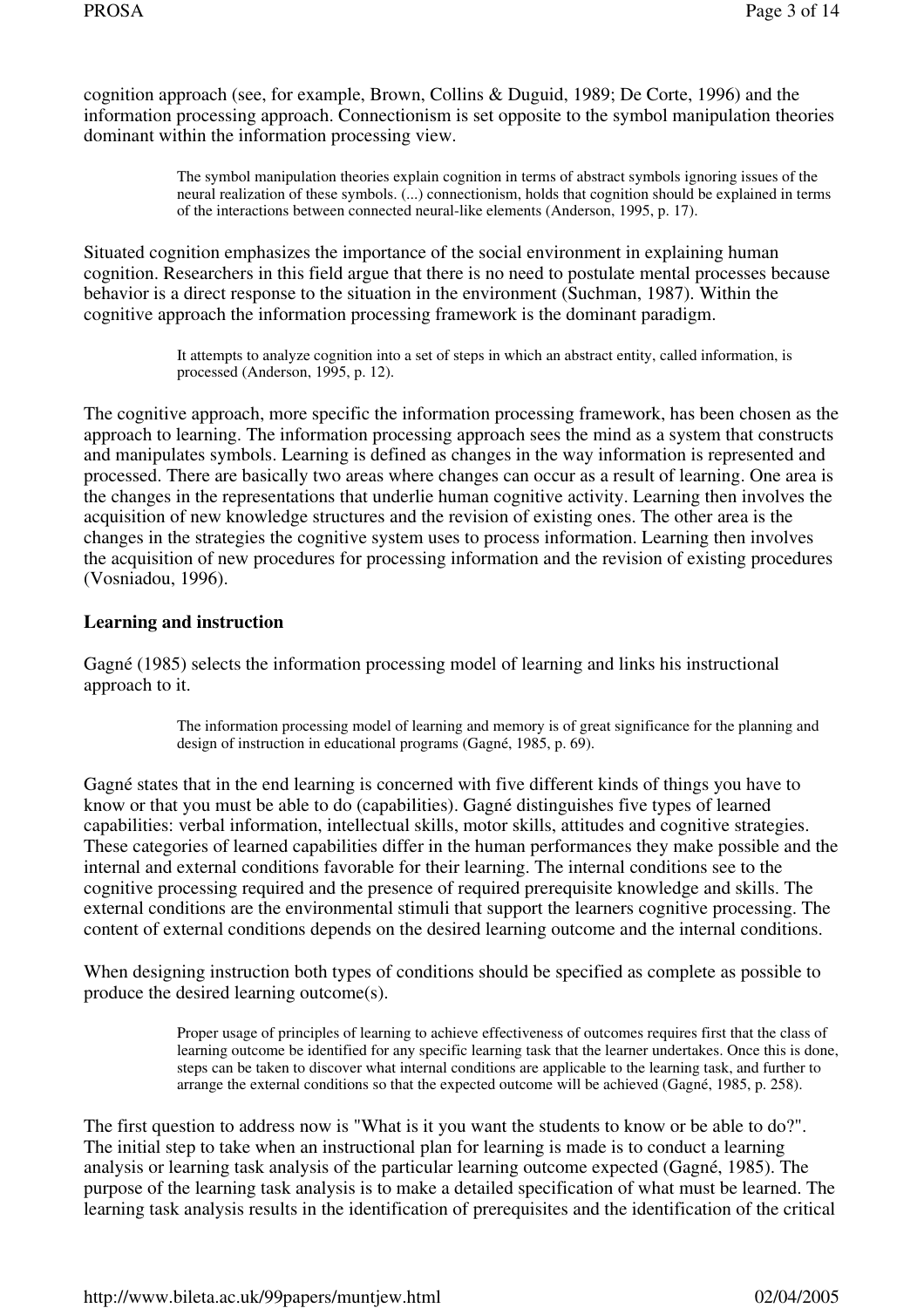cognition approach (see, for example, Brown, Collins & Duguid, 1989; De Corte, 1996) and the information processing approach. Connectionism is set opposite to the symbol manipulation theories dominant within the information processing view.

> The symbol manipulation theories explain cognition in terms of abstract symbols ignoring issues of the neural realization of these symbols. (...) connectionism, holds that cognition should be explained in terms of the interactions between connected neural-like elements (Anderson, 1995, p. 17).

Situated cognition emphasizes the importance of the social environment in explaining human cognition. Researchers in this field argue that there is no need to postulate mental processes because behavior is a direct response to the situation in the environment (Suchman, 1987). Within the cognitive approach the information processing framework is the dominant paradigm.

> It attempts to analyze cognition into a set of steps in which an abstract entity, called information, is processed (Anderson, 1995, p. 12).

The cognitive approach, more specific the information processing framework, has been chosen as the approach to learning. The information processing approach sees the mind as a system that constructs and manipulates symbols. Learning is defined as changes in the way information is represented and processed. There are basically two areas where changes can occur as a result of learning. One area is the changes in the representations that underlie human cognitive activity. Learning then involves the acquisition of new knowledge structures and the revision of existing ones. The other area is the changes in the strategies the cognitive system uses to process information. Learning then involves the acquisition of new procedures for processing information and the revision of existing procedures (Vosniadou, 1996).

### **Learning and instruction**

Gagné (1985) selects the information processing model of learning and links his instructional approach to it.

> The information processing model of learning and memory is of great significance for the planning and design of instruction in educational programs (Gagné, 1985, p. 69).

Gagné states that in the end learning is concerned with five different kinds of things you have to know or that you must be able to do (capabilities). Gagné distinguishes five types of learned capabilities: verbal information, intellectual skills, motor skills, attitudes and cognitive strategies. These categories of learned capabilities differ in the human performances they make possible and the internal and external conditions favorable for their learning. The internal conditions see to the cognitive processing required and the presence of required prerequisite knowledge and skills. The external conditions are the environmental stimuli that support the learners cognitive processing. The content of external conditions depends on the desired learning outcome and the internal conditions.

When designing instruction both types of conditions should be specified as complete as possible to produce the desired learning outcome(s).

> Proper usage of principles of learning to achieve effectiveness of outcomes requires first that the class of learning outcome be identified for any specific learning task that the learner undertakes. Once this is done, steps can be taken to discover what internal conditions are applicable to the learning task, and further to arrange the external conditions so that the expected outcome will be achieved (Gagné, 1985, p. 258).

The first question to address now is "What is it you want the students to know or be able to do?". The initial step to take when an instructional plan for learning is made is to conduct a learning analysis or learning task analysis of the particular learning outcome expected (Gagné, 1985). The purpose of the learning task analysis is to make a detailed specification of what must be learned. The learning task analysis results in the identification of prerequisites and the identification of the critical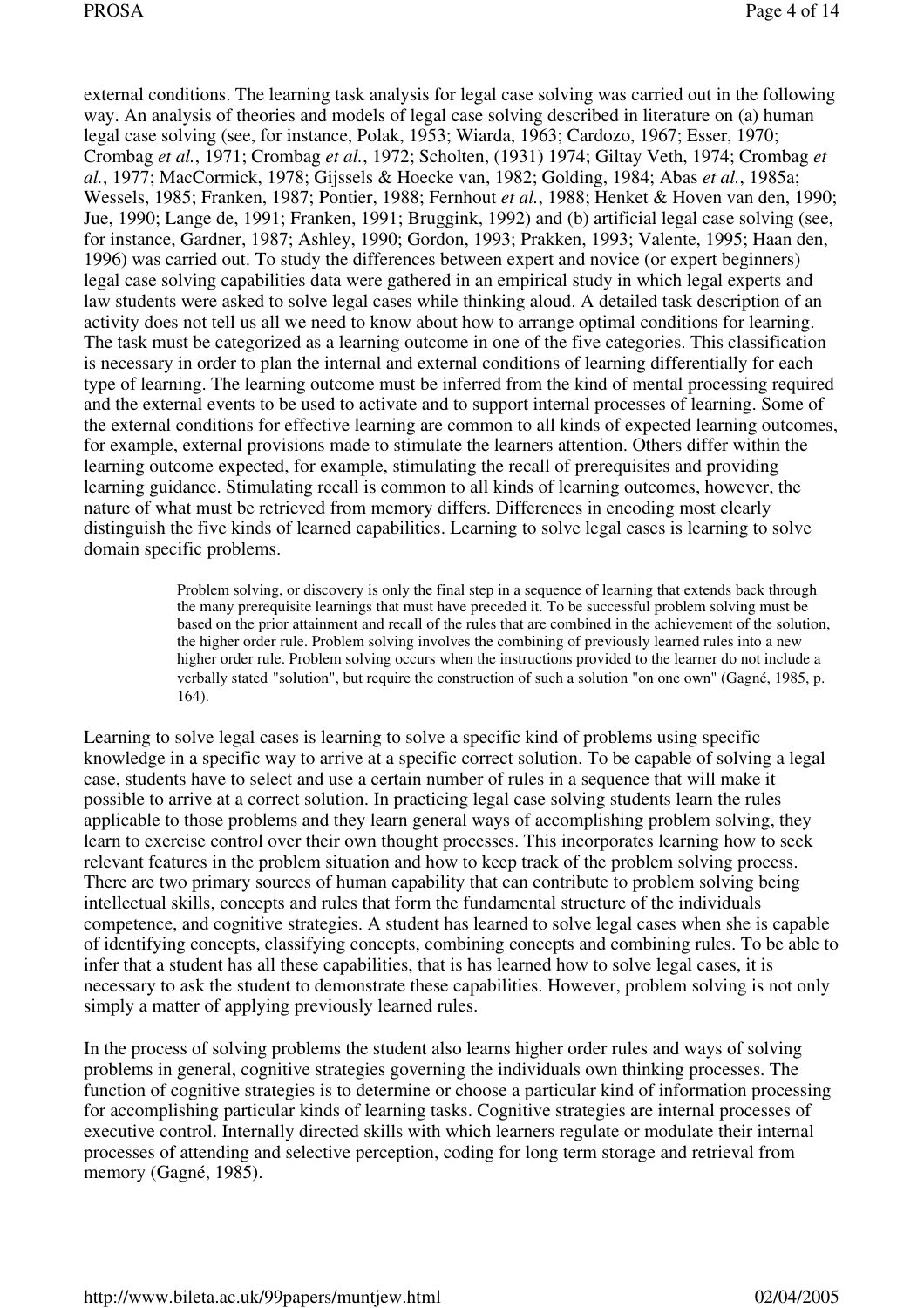external conditions. The learning task analysis for legal case solving was carried out in the following way. An analysis of theories and models of legal case solving described in literature on (a) human legal case solving (see, for instance, Polak, 1953; Wiarda, 1963; Cardozo, 1967; Esser, 1970; Crombag *et al.*, 1971; Crombag *et al.*, 1972; Scholten, (1931) 1974; Giltay Veth, 1974; Crombag *et al.*, 1977; MacCormick, 1978; Gijssels & Hoecke van, 1982; Golding, 1984; Abas *et al.*, 1985a; Wessels, 1985; Franken, 1987; Pontier, 1988; Fernhout *et al.*, 1988; Henket & Hoven van den, 1990; Jue, 1990; Lange de, 1991; Franken, 1991; Bruggink, 1992) and (b) artificial legal case solving (see, for instance, Gardner, 1987; Ashley, 1990; Gordon, 1993; Prakken, 1993; Valente, 1995; Haan den, 1996) was carried out. To study the differences between expert and novice (or expert beginners) legal case solving capabilities data were gathered in an empirical study in which legal experts and law students were asked to solve legal cases while thinking aloud. A detailed task description of an activity does not tell us all we need to know about how to arrange optimal conditions for learning. The task must be categorized as a learning outcome in one of the five categories. This classification is necessary in order to plan the internal and external conditions of learning differentially for each type of learning. The learning outcome must be inferred from the kind of mental processing required and the external events to be used to activate and to support internal processes of learning. Some of the external conditions for effective learning are common to all kinds of expected learning outcomes, for example, external provisions made to stimulate the learners attention. Others differ within the learning outcome expected, for example, stimulating the recall of prerequisites and providing learning guidance. Stimulating recall is common to all kinds of learning outcomes, however, the nature of what must be retrieved from memory differs. Differences in encoding most clearly distinguish the five kinds of learned capabilities. Learning to solve legal cases is learning to solve domain specific problems.

> Problem solving, or discovery is only the final step in a sequence of learning that extends back through the many prerequisite learnings that must have preceded it. To be successful problem solving must be based on the prior attainment and recall of the rules that are combined in the achievement of the solution, the higher order rule. Problem solving involves the combining of previously learned rules into a new higher order rule. Problem solving occurs when the instructions provided to the learner do not include a verbally stated "solution", but require the construction of such a solution "on one own" (Gagné, 1985, p. 164).

Learning to solve legal cases is learning to solve a specific kind of problems using specific knowledge in a specific way to arrive at a specific correct solution. To be capable of solving a legal case, students have to select and use a certain number of rules in a sequence that will make it possible to arrive at a correct solution. In practicing legal case solving students learn the rules applicable to those problems and they learn general ways of accomplishing problem solving, they learn to exercise control over their own thought processes. This incorporates learning how to seek relevant features in the problem situation and how to keep track of the problem solving process. There are two primary sources of human capability that can contribute to problem solving being intellectual skills, concepts and rules that form the fundamental structure of the individuals competence, and cognitive strategies. A student has learned to solve legal cases when she is capable of identifying concepts, classifying concepts, combining concepts and combining rules. To be able to infer that a student has all these capabilities, that is has learned how to solve legal cases, it is necessary to ask the student to demonstrate these capabilities. However, problem solving is not only simply a matter of applying previously learned rules.

In the process of solving problems the student also learns higher order rules and ways of solving problems in general, cognitive strategies governing the individuals own thinking processes. The function of cognitive strategies is to determine or choose a particular kind of information processing for accomplishing particular kinds of learning tasks. Cognitive strategies are internal processes of executive control. Internally directed skills with which learners regulate or modulate their internal processes of attending and selective perception, coding for long term storage and retrieval from memory (Gagné, 1985).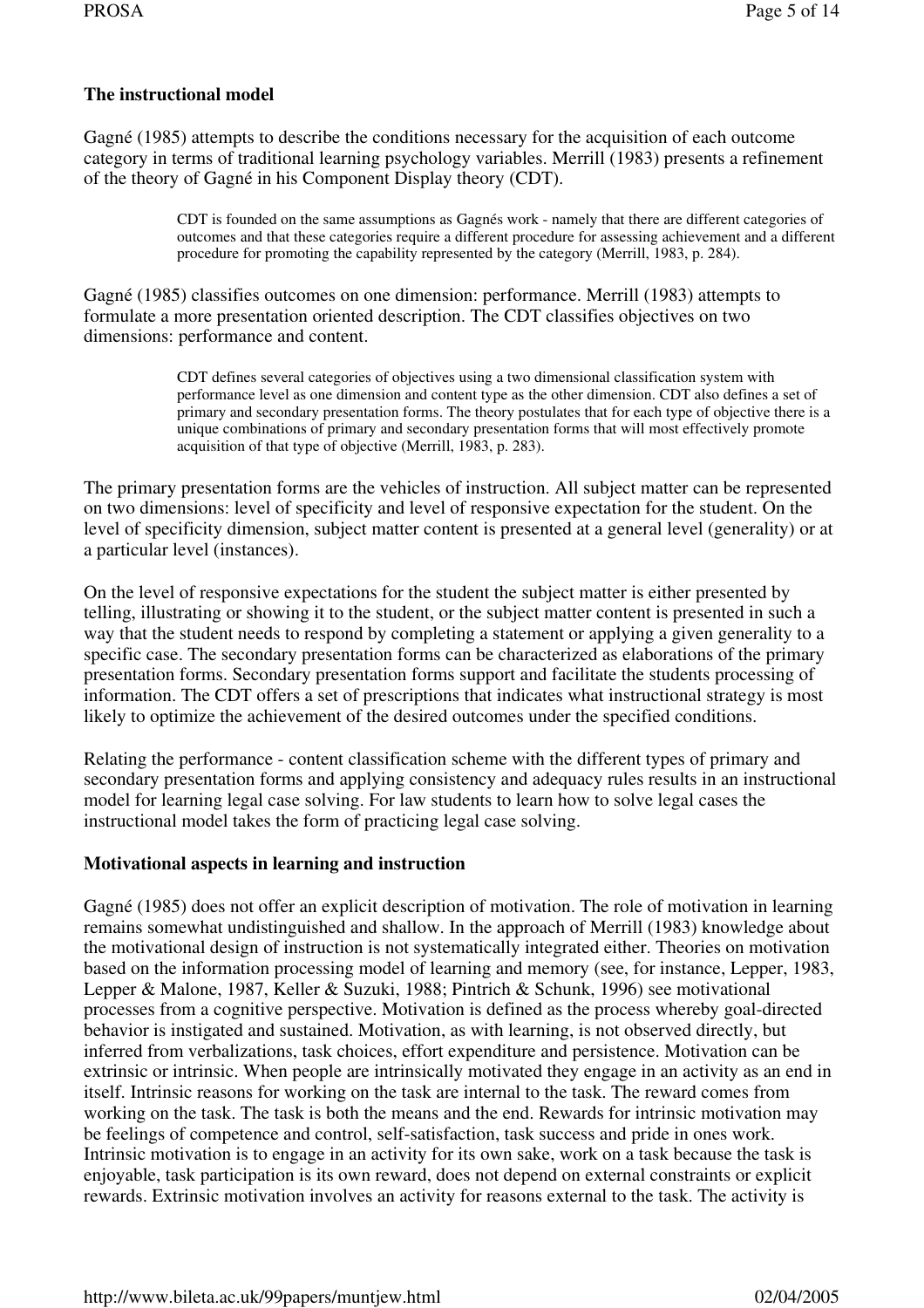## **The instructional model**

Gagné (1985) attempts to describe the conditions necessary for the acquisition of each outcome category in terms of traditional learning psychology variables. Merrill (1983) presents a refinement of the theory of Gagné in his Component Display theory (CDT).

> CDT is founded on the same assumptions as Gagnés work - namely that there are different categories of outcomes and that these categories require a different procedure for assessing achievement and a different procedure for promoting the capability represented by the category (Merrill, 1983, p. 284).

Gagné (1985) classifies outcomes on one dimension: performance. Merrill (1983) attempts to formulate a more presentation oriented description. The CDT classifies objectives on two dimensions: performance and content.

> CDT defines several categories of objectives using a two dimensional classification system with performance level as one dimension and content type as the other dimension. CDT also defines a set of primary and secondary presentation forms. The theory postulates that for each type of objective there is a unique combinations of primary and secondary presentation forms that will most effectively promote acquisition of that type of objective (Merrill, 1983, p. 283).

The primary presentation forms are the vehicles of instruction. All subject matter can be represented on two dimensions: level of specificity and level of responsive expectation for the student. On the level of specificity dimension, subject matter content is presented at a general level (generality) or at a particular level (instances).

On the level of responsive expectations for the student the subject matter is either presented by telling, illustrating or showing it to the student, or the subject matter content is presented in such a way that the student needs to respond by completing a statement or applying a given generality to a specific case. The secondary presentation forms can be characterized as elaborations of the primary presentation forms. Secondary presentation forms support and facilitate the students processing of information. The CDT offers a set of prescriptions that indicates what instructional strategy is most likely to optimize the achievement of the desired outcomes under the specified conditions.

Relating the performance - content classification scheme with the different types of primary and secondary presentation forms and applying consistency and adequacy rules results in an instructional model for learning legal case solving. For law students to learn how to solve legal cases the instructional model takes the form of practicing legal case solving.

### **Motivational aspects in learning and instruction**

Gagné (1985) does not offer an explicit description of motivation. The role of motivation in learning remains somewhat undistinguished and shallow. In the approach of Merrill (1983) knowledge about the motivational design of instruction is not systematically integrated either. Theories on motivation based on the information processing model of learning and memory (see, for instance, Lepper, 1983, Lepper & Malone, 1987, Keller & Suzuki, 1988; Pintrich & Schunk, 1996) see motivational processes from a cognitive perspective. Motivation is defined as the process whereby goal-directed behavior is instigated and sustained. Motivation, as with learning, is not observed directly, but inferred from verbalizations, task choices, effort expenditure and persistence. Motivation can be extrinsic or intrinsic. When people are intrinsically motivated they engage in an activity as an end in itself. Intrinsic reasons for working on the task are internal to the task. The reward comes from working on the task. The task is both the means and the end. Rewards for intrinsic motivation may be feelings of competence and control, self-satisfaction, task success and pride in ones work. Intrinsic motivation is to engage in an activity for its own sake, work on a task because the task is enjoyable, task participation is its own reward, does not depend on external constraints or explicit rewards. Extrinsic motivation involves an activity for reasons external to the task. The activity is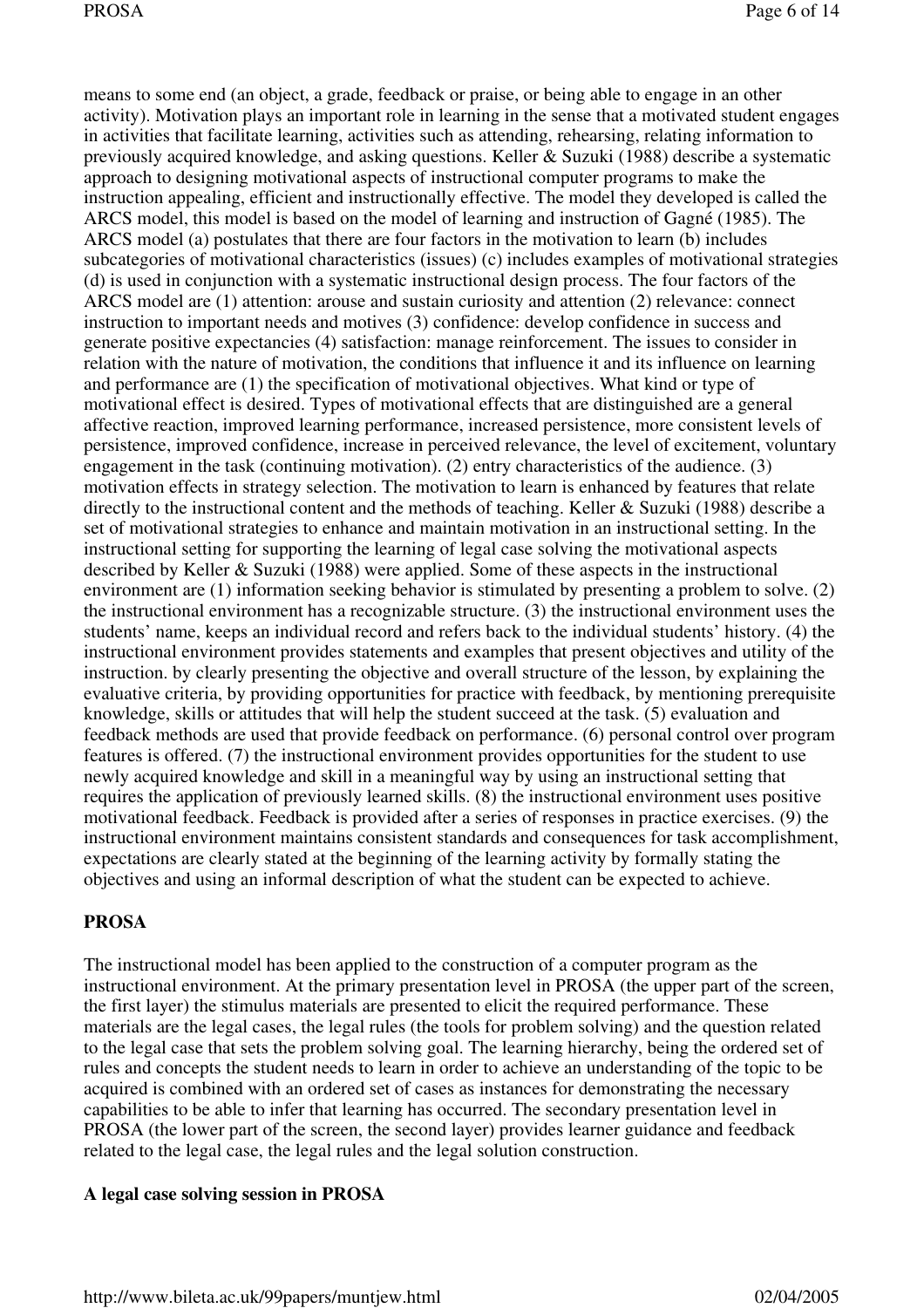means to some end (an object, a grade, feedback or praise, or being able to engage in an other activity). Motivation plays an important role in learning in the sense that a motivated student engages in activities that facilitate learning, activities such as attending, rehearsing, relating information to previously acquired knowledge, and asking questions. Keller & Suzuki (1988) describe a systematic approach to designing motivational aspects of instructional computer programs to make the instruction appealing, efficient and instructionally effective. The model they developed is called the ARCS model, this model is based on the model of learning and instruction of Gagné (1985). The ARCS model (a) postulates that there are four factors in the motivation to learn (b) includes subcategories of motivational characteristics (issues) (c) includes examples of motivational strategies (d) is used in conjunction with a systematic instructional design process. The four factors of the ARCS model are (1) attention: arouse and sustain curiosity and attention (2) relevance: connect instruction to important needs and motives (3) confidence: develop confidence in success and generate positive expectancies (4) satisfaction: manage reinforcement. The issues to consider in relation with the nature of motivation, the conditions that influence it and its influence on learning and performance are (1) the specification of motivational objectives. What kind or type of motivational effect is desired. Types of motivational effects that are distinguished are a general affective reaction, improved learning performance, increased persistence, more consistent levels of persistence, improved confidence, increase in perceived relevance, the level of excitement, voluntary engagement in the task (continuing motivation). (2) entry characteristics of the audience. (3) motivation effects in strategy selection. The motivation to learn is enhanced by features that relate directly to the instructional content and the methods of teaching. Keller & Suzuki (1988) describe a set of motivational strategies to enhance and maintain motivation in an instructional setting. In the instructional setting for supporting the learning of legal case solving the motivational aspects described by Keller & Suzuki (1988) were applied. Some of these aspects in the instructional environment are (1) information seeking behavior is stimulated by presenting a problem to solve. (2) the instructional environment has a recognizable structure. (3) the instructional environment uses the students' name, keeps an individual record and refers back to the individual students' history. (4) the instructional environment provides statements and examples that present objectives and utility of the instruction. by clearly presenting the objective and overall structure of the lesson, by explaining the evaluative criteria, by providing opportunities for practice with feedback, by mentioning prerequisite knowledge, skills or attitudes that will help the student succeed at the task. (5) evaluation and feedback methods are used that provide feedback on performance. (6) personal control over program features is offered. (7) the instructional environment provides opportunities for the student to use newly acquired knowledge and skill in a meaningful way by using an instructional setting that requires the application of previously learned skills. (8) the instructional environment uses positive motivational feedback. Feedback is provided after a series of responses in practice exercises. (9) the instructional environment maintains consistent standards and consequences for task accomplishment, expectations are clearly stated at the beginning of the learning activity by formally stating the objectives and using an informal description of what the student can be expected to achieve.

### **PROSA**

The instructional model has been applied to the construction of a computer program as the instructional environment. At the primary presentation level in PROSA (the upper part of the screen, the first layer) the stimulus materials are presented to elicit the required performance. These materials are the legal cases, the legal rules (the tools for problem solving) and the question related to the legal case that sets the problem solving goal. The learning hierarchy, being the ordered set of rules and concepts the student needs to learn in order to achieve an understanding of the topic to be acquired is combined with an ordered set of cases as instances for demonstrating the necessary capabilities to be able to infer that learning has occurred. The secondary presentation level in PROSA (the lower part of the screen, the second layer) provides learner guidance and feedback related to the legal case, the legal rules and the legal solution construction.

#### **A legal case solving session in PROSA**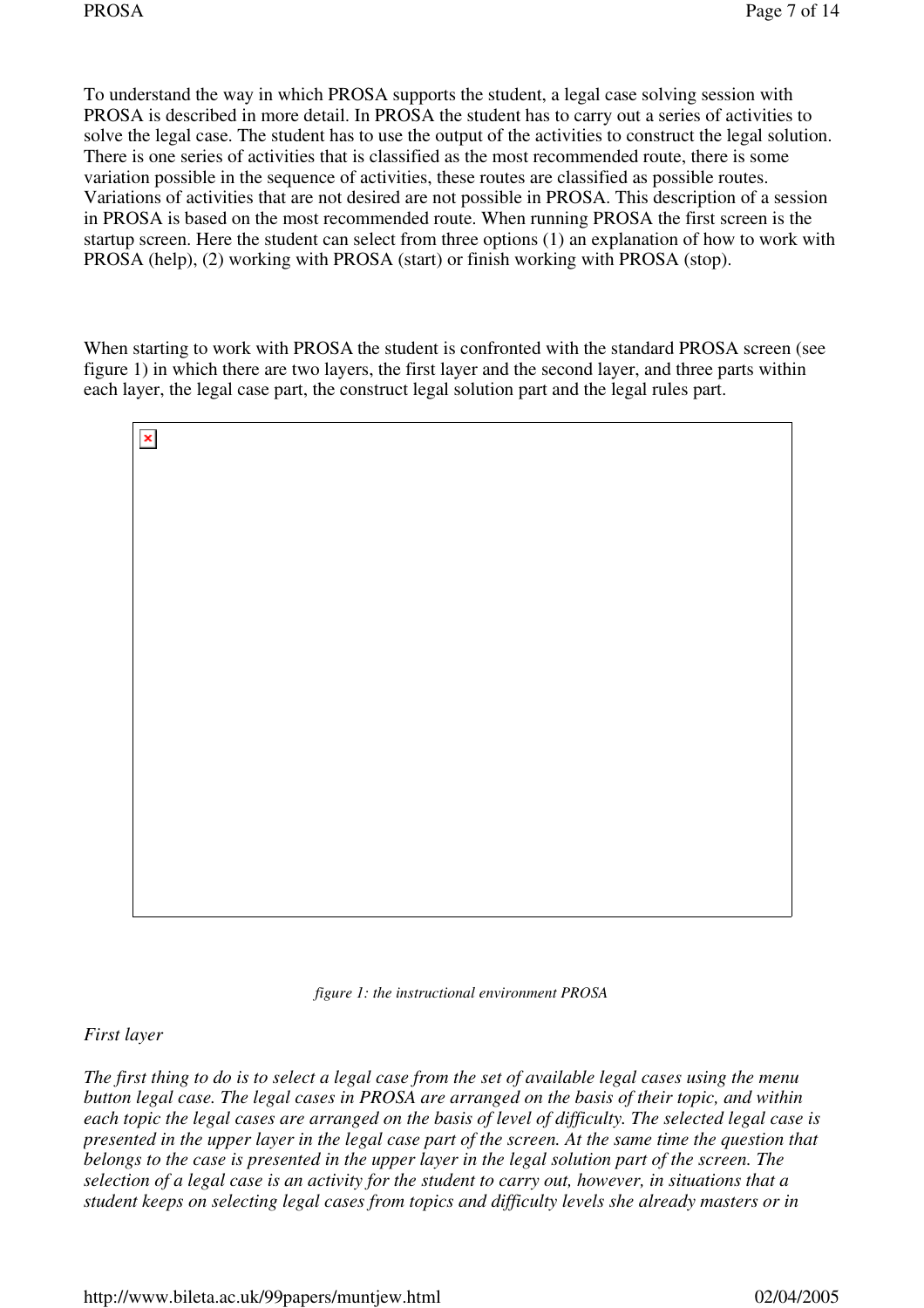To understand the way in which PROSA supports the student, a legal case solving session with PROSA is described in more detail. In PROSA the student has to carry out a series of activities to solve the legal case. The student has to use the output of the activities to construct the legal solution. There is one series of activities that is classified as the most recommended route, there is some variation possible in the sequence of activities, these routes are classified as possible routes. Variations of activities that are not desired are not possible in PROSA. This description of a session in PROSA is based on the most recommended route. When running PROSA the first screen is the startup screen. Here the student can select from three options (1) an explanation of how to work with PROSA (help), (2) working with PROSA (start) or finish working with PROSA (stop).

When starting to work with PROSA the student is confronted with the standard PROSA screen (see figure 1) in which there are two layers, the first layer and the second layer, and three parts within each layer, the legal case part, the construct legal solution part and the legal rules part.

| $\pmb{\times}$ |  |
|----------------|--|
|                |  |
|                |  |
|                |  |
|                |  |
|                |  |
|                |  |
|                |  |
|                |  |
|                |  |
|                |  |
|                |  |

*figure 1: the instructional environment PROSA*

*First layer*

*The first thing to do is to select a legal case from the set of available legal cases using the menu button legal case. The legal cases in PROSA are arranged on the basis of their topic, and within each topic the legal cases are arranged on the basis of level of difficulty. The selected legal case is presented in the upper layer in the legal case part of the screen. At the same time the question that belongs to the case is presented in the upper layer in the legal solution part of the screen. The selection of a legal case is an activity for the student to carry out, however, in situations that a student keeps on selecting legal cases from topics and difficulty levels she already masters or in*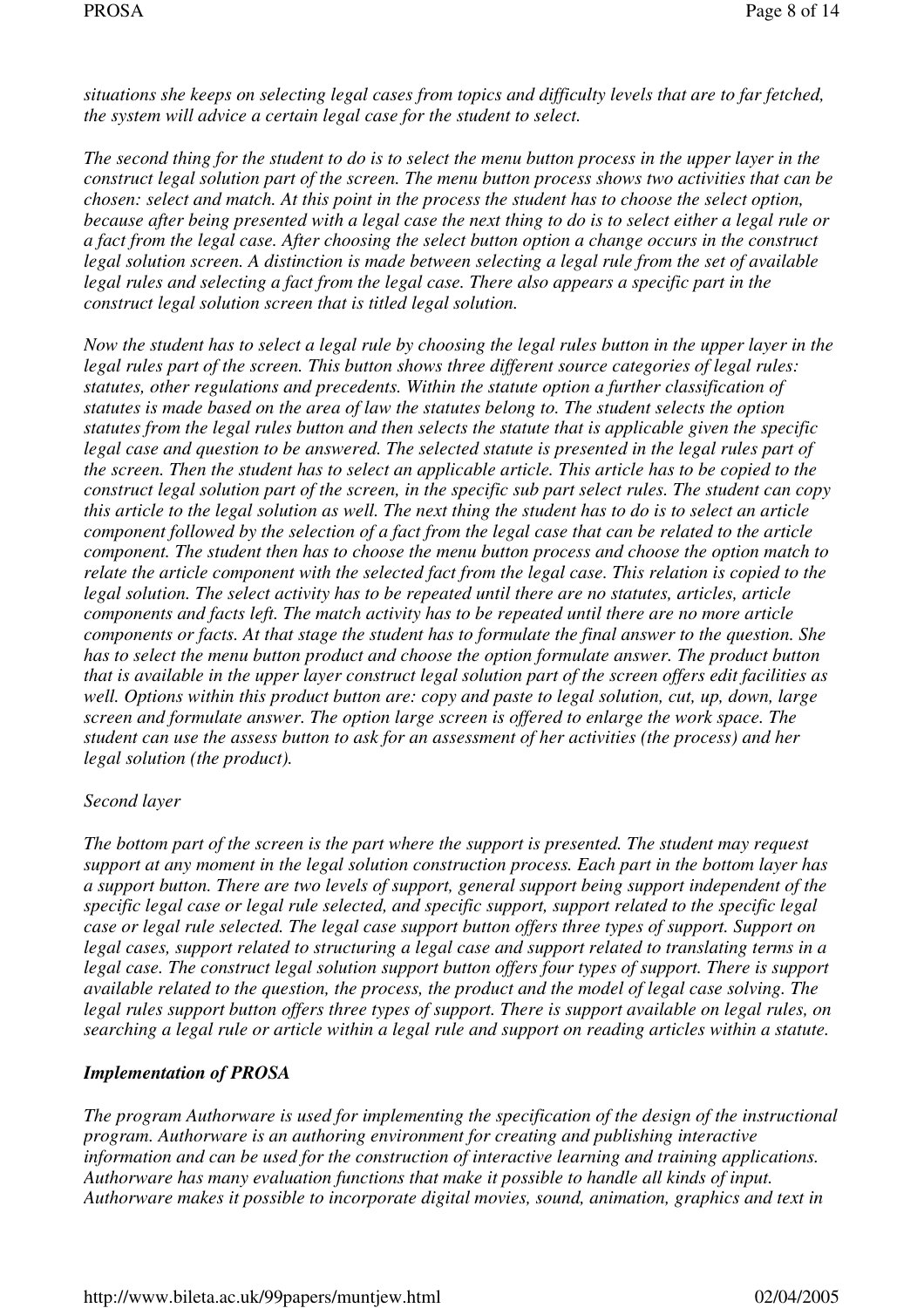*situations she keeps on selecting legal cases from topics and difficulty levels that are to far fetched, the system will advice a certain legal case for the student to select.*

*The second thing for the student to do is to select the menu button process in the upper layer in the construct legal solution part of the screen. The menu button process shows two activities that can be chosen: select and match. At this point in the process the student has to choose the select option, because after being presented with a legal case the next thing to do is to select either a legal rule or a fact from the legal case. After choosing the select button option a change occurs in the construct legal solution screen. A distinction is made between selecting a legal rule from the set of available legal rules and selecting a fact from the legal case. There also appears a specific part in the construct legal solution screen that is titled legal solution.*

*Now the student has to select a legal rule by choosing the legal rules button in the upper layer in the legal rules part of the screen. This button shows three different source categories of legal rules: statutes, other regulations and precedents. Within the statute option a further classification of statutes is made based on the area of law the statutes belong to. The student selects the option statutes from the legal rules button and then selects the statute that is applicable given the specific legal case and question to be answered. The selected statute is presented in the legal rules part of the screen. Then the student has to select an applicable article. This article has to be copied to the construct legal solution part of the screen, in the specific sub part select rules. The student can copy this article to the legal solution as well. The next thing the student has to do is to select an article component followed by the selection of a fact from the legal case that can be related to the article component. The student then has to choose the menu button process and choose the option match to relate the article component with the selected fact from the legal case. This relation is copied to the legal solution. The select activity has to be repeated until there are no statutes, articles, article components and facts left. The match activity has to be repeated until there are no more article components or facts. At that stage the student has to formulate the final answer to the question. She has to select the menu button product and choose the option formulate answer. The product button that is available in the upper layer construct legal solution part of the screen offers edit facilities as well. Options within this product button are: copy and paste to legal solution, cut, up, down, large screen and formulate answer. The option large screen is offered to enlarge the work space. The student can use the assess button to ask for an assessment of her activities (the process) and her legal solution (the product).*

### *Second layer*

*The bottom part of the screen is the part where the support is presented. The student may request support at any moment in the legal solution construction process. Each part in the bottom layer has a support button. There are two levels of support, general support being support independent of the specific legal case or legal rule selected, and specific support, support related to the specific legal case or legal rule selected. The legal case support button offers three types of support. Support on legal cases, support related to structuring a legal case and support related to translating terms in a legal case. The construct legal solution support button offers four types of support. There is support available related to the question, the process, the product and the model of legal case solving. The legal rules support button offers three types of support. There is support available on legal rules, on searching a legal rule or article within a legal rule and support on reading articles within a statute.*

### *Implementation of PROSA*

*The program Authorware is used for implementing the specification of the design of the instructional program. Authorware is an authoring environment for creating and publishing interactive information and can be used for the construction of interactive learning and training applications. Authorware has many evaluation functions that make it possible to handle all kinds of input. Authorware makes it possible to incorporate digital movies, sound, animation, graphics and text in*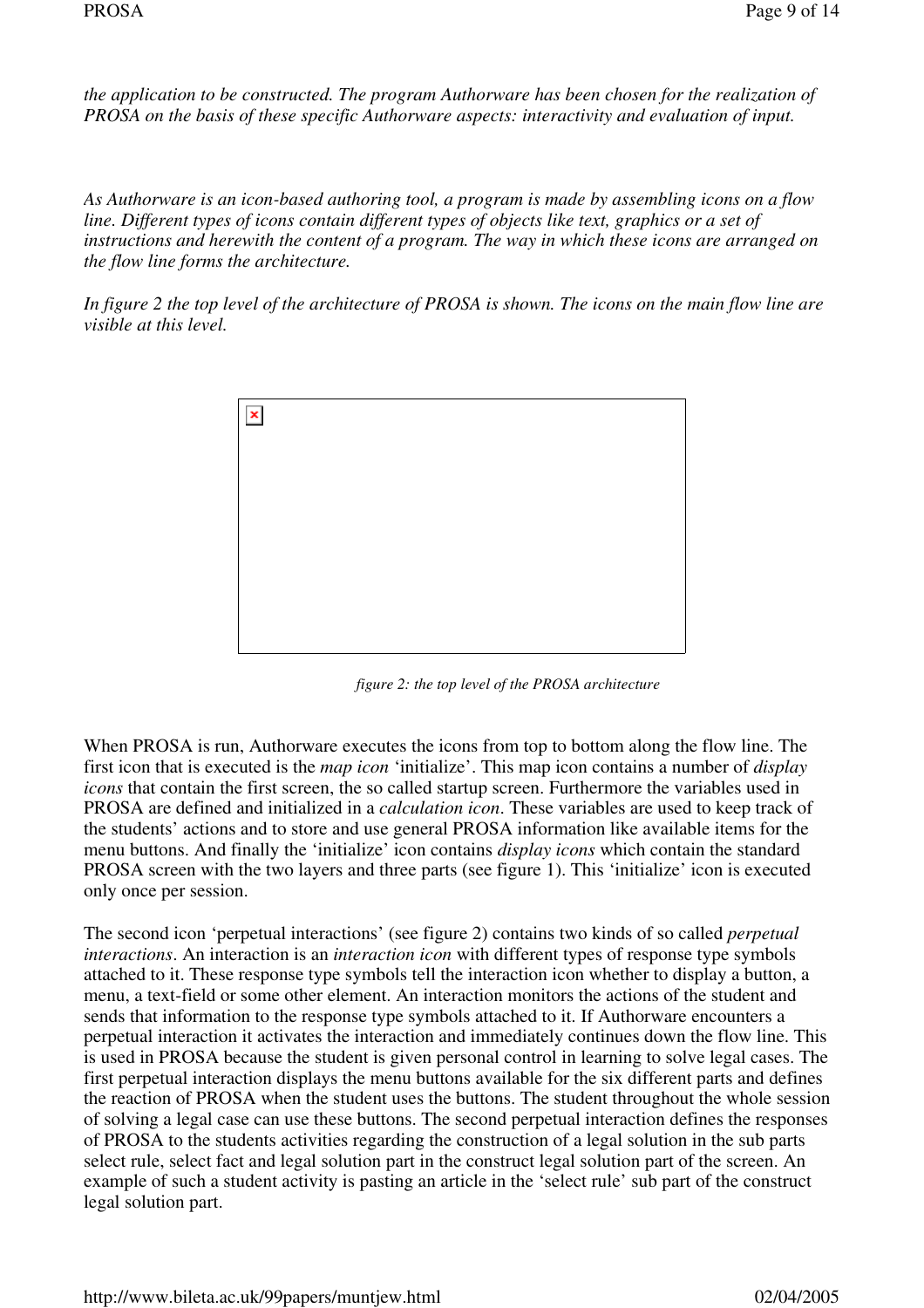*the application to be constructed. The program Authorware has been chosen for the realization of PROSA on the basis of these specific Authorware aspects: interactivity and evaluation of input.*

*As Authorware is an icon-based authoring tool, a program is made by assembling icons on a flow line. Different types of icons contain different types of objects like text, graphics or a set of instructions and herewith the content of a program. The way in which these icons are arranged on the flow line forms the architecture.*

*In figure 2 the top level of the architecture of PROSA is shown. The icons on the main flow line are visible at this level.*



*figure 2: the top level of the PROSA architecture*

When PROSA is run, Authorware executes the icons from top to bottom along the flow line. The first icon that is executed is the *map icon* 'initialize'. This map icon contains a number of *display icons* that contain the first screen, the so called startup screen. Furthermore the variables used in PROSA are defined and initialized in a *calculation icon*. These variables are used to keep track of the students' actions and to store and use general PROSA information like available items for the menu buttons. And finally the 'initialize' icon contains *display icons* which contain the standard PROSA screen with the two layers and three parts (see figure 1). This 'initialize' icon is executed only once per session.

The second icon 'perpetual interactions' (see figure 2) contains two kinds of so called *perpetual interactions*. An interaction is an *interaction icon* with different types of response type symbols attached to it. These response type symbols tell the interaction icon whether to display a button, a menu, a text-field or some other element. An interaction monitors the actions of the student and sends that information to the response type symbols attached to it. If Authorware encounters a perpetual interaction it activates the interaction and immediately continues down the flow line. This is used in PROSA because the student is given personal control in learning to solve legal cases. The first perpetual interaction displays the menu buttons available for the six different parts and defines the reaction of PROSA when the student uses the buttons. The student throughout the whole session of solving a legal case can use these buttons. The second perpetual interaction defines the responses of PROSA to the students activities regarding the construction of a legal solution in the sub parts select rule, select fact and legal solution part in the construct legal solution part of the screen. An example of such a student activity is pasting an article in the 'select rule' sub part of the construct legal solution part.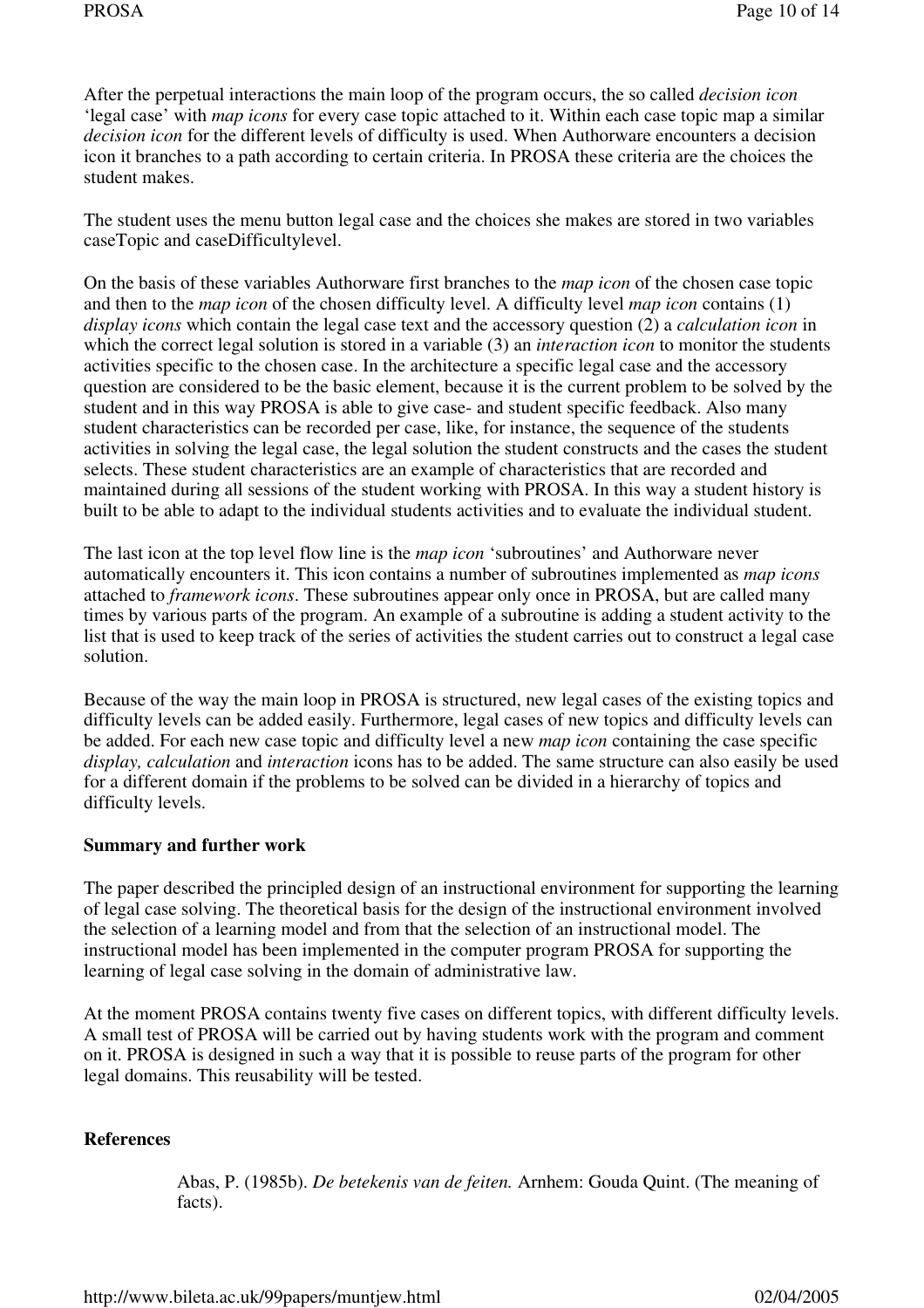After the perpetual interactions the main loop of the program occurs, the so called *decision icon* 'legal case' with *map icons* for every case topic attached to it. Within each case topic map a similar *decision icon* for the different levels of difficulty is used. When Authorware encounters a decision icon it branches to a path according to certain criteria. In PROSA these criteria are the choices the student makes.

The student uses the menu button legal case and the choices she makes are stored in two variables caseTopic and caseDifficultylevel.

On the basis of these variables Authorware first branches to the *map icon* of the chosen case topic and then to the *map icon* of the chosen difficulty level. A difficulty level *map icon* contains (1) *display icons* which contain the legal case text and the accessory question (2) a *calculation icon* in which the correct legal solution is stored in a variable (3) an *interaction icon* to monitor the students activities specific to the chosen case. In the architecture a specific legal case and the accessory question are considered to be the basic element, because it is the current problem to be solved by the student and in this way PROSA is able to give case- and student specific feedback. Also many student characteristics can be recorded per case, like, for instance, the sequence of the students activities in solving the legal case, the legal solution the student constructs and the cases the student selects. These student characteristics are an example of characteristics that are recorded and maintained during all sessions of the student working with PROSA. In this way a student history is built to be able to adapt to the individual students activities and to evaluate the individual student.

The last icon at the top level flow line is the *map icon* 'subroutines' and Authorware never automatically encounters it. This icon contains a number of subroutines implemented as *map icons* attached to *framework icons*. These subroutines appear only once in PROSA, but are called many times by various parts of the program. An example of a subroutine is adding a student activity to the list that is used to keep track of the series of activities the student carries out to construct a legal case solution.

Because of the way the main loop in PROSA is structured, new legal cases of the existing topics and difficulty levels can be added easily. Furthermore, legal cases of new topics and difficulty levels can be added. For each new case topic and difficulty level a new *map icon* containing the case specific *display, calculation* and *interaction* icons has to be added. The same structure can also easily be used for a different domain if the problems to be solved can be divided in a hierarchy of topics and difficulty levels.

### **Summary and further work**

The paper described the principled design of an instructional environment for supporting the learning of legal case solving. The theoretical basis for the design of the instructional environment involved the selection of a learning model and from that the selection of an instructional model. The instructional model has been implemented in the computer program PROSA for supporting the learning of legal case solving in the domain of administrative law.

At the moment PROSA contains twenty five cases on different topics, with different difficulty levels. A small test of PROSA will be carried out by having students work with the program and comment on it. PROSA is designed in such a way that it is possible to reuse parts of the program for other legal domains. This reusability will be tested.

#### **References**

Abas, P. (1985b). *De betekenis van de feiten.* Arnhem: Gouda Quint. (The meaning of facts).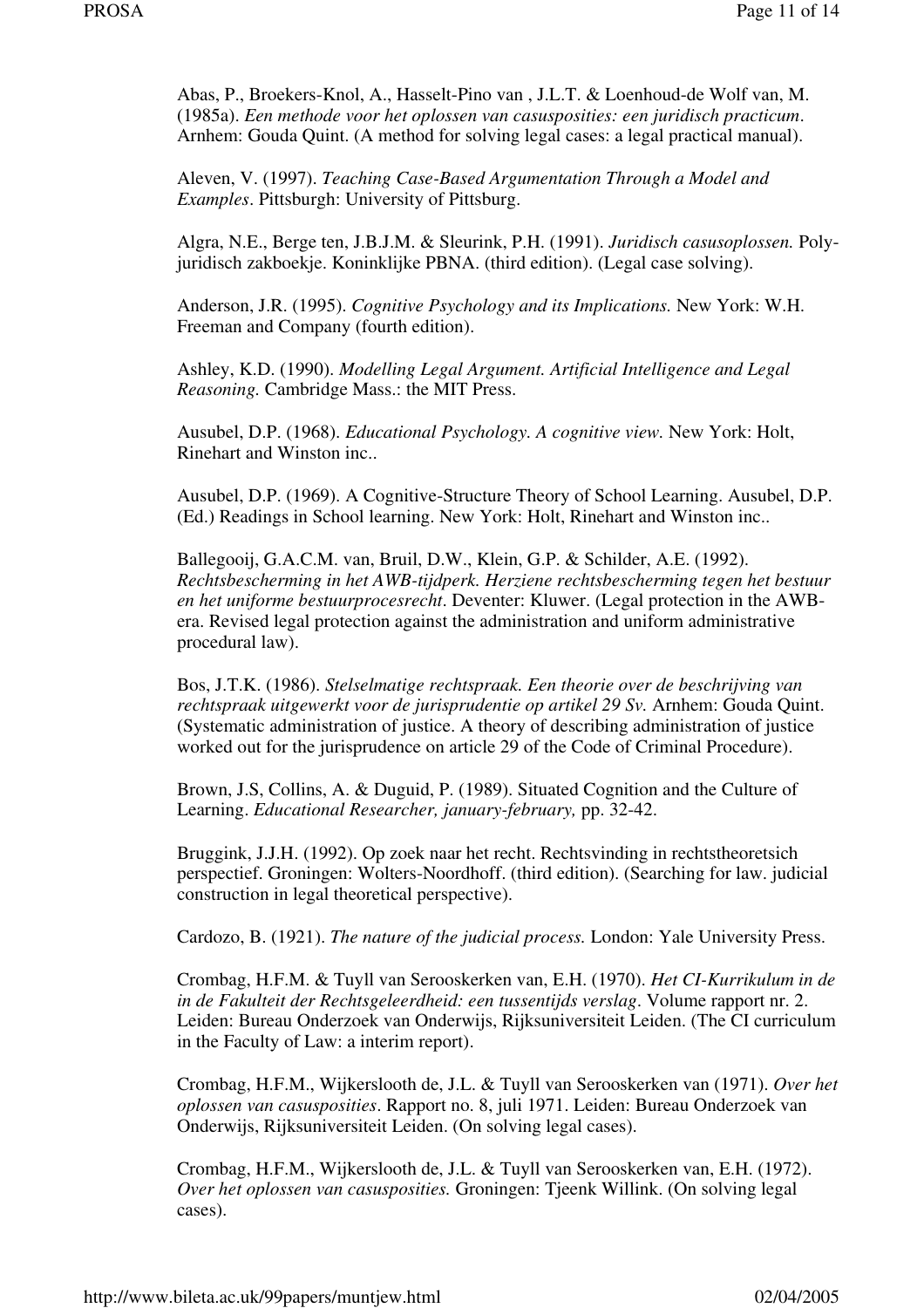Abas, P., Broekers-Knol, A., Hasselt-Pino van , J.L.T. & Loenhoud-de Wolf van, M. (1985a). *Een methode voor het oplossen van casusposities: een juridisch practicum*. Arnhem: Gouda Quint. (A method for solving legal cases: a legal practical manual).

Aleven, V. (1997). *Teaching Case-Based Argumentation Through a Model and Examples*. Pittsburgh: University of Pittsburg.

Algra, N.E., Berge ten, J.B.J.M. & Sleurink, P.H. (1991). *Juridisch casusoplossen.* Polyjuridisch zakboekje. Koninklijke PBNA. (third edition). (Legal case solving).

Anderson, J.R. (1995). *Cognitive Psychology and its Implications.* New York: W.H. Freeman and Company (fourth edition).

Ashley, K.D. (1990). *Modelling Legal Argument. Artificial Intelligence and Legal Reasoning.* Cambridge Mass.: the MIT Press.

Ausubel, D.P. (1968). *Educational Psychology. A cognitive view.* New York: Holt, Rinehart and Winston inc..

Ausubel, D.P. (1969). A Cognitive-Structure Theory of School Learning. Ausubel, D.P. (Ed.) Readings in School learning. New York: Holt, Rinehart and Winston inc..

Ballegooij, G.A.C.M. van, Bruil, D.W., Klein, G.P. & Schilder, A.E. (1992). *Rechtsbescherming in het AWB-tijdperk. Herziene rechtsbescherming tegen het bestuur en het uniforme bestuurprocesrecht*. Deventer: Kluwer. (Legal protection in the AWBera. Revised legal protection against the administration and uniform administrative procedural law).

Bos, J.T.K. (1986). *Stelselmatige rechtspraak. Een theorie over de beschrijving van rechtspraak uitgewerkt voor de jurisprudentie op artikel 29 Sv.* Arnhem: Gouda Quint. (Systematic administration of justice. A theory of describing administration of justice worked out for the jurisprudence on article 29 of the Code of Criminal Procedure).

Brown, J.S, Collins, A. & Duguid, P. (1989). Situated Cognition and the Culture of Learning. *Educational Researcher, january-february,* pp. 32-42.

Bruggink, J.J.H. (1992). Op zoek naar het recht. Rechtsvinding in rechtstheoretsich perspectief. Groningen: Wolters-Noordhoff. (third edition). (Searching for law. judicial construction in legal theoretical perspective).

Cardozo, B. (1921). *The nature of the judicial process.* London: Yale University Press.

Crombag, H.F.M. & Tuyll van Serooskerken van, E.H. (1970). *Het CI-Kurrikulum in de in de Fakulteit der Rechtsgeleerdheid: een tussentijds verslag*. Volume rapport nr. 2. Leiden: Bureau Onderzoek van Onderwijs, Rijksuniversiteit Leiden. (The CI curriculum in the Faculty of Law: a interim report).

Crombag, H.F.M., Wijkerslooth de, J.L. & Tuyll van Serooskerken van (1971). *Over het oplossen van casusposities*. Rapport no. 8, juli 1971. Leiden: Bureau Onderzoek van Onderwijs, Rijksuniversiteit Leiden. (On solving legal cases).

Crombag, H.F.M., Wijkerslooth de, J.L. & Tuyll van Serooskerken van, E.H. (1972). *Over het oplossen van casusposities.* Groningen: Tjeenk Willink. (On solving legal cases).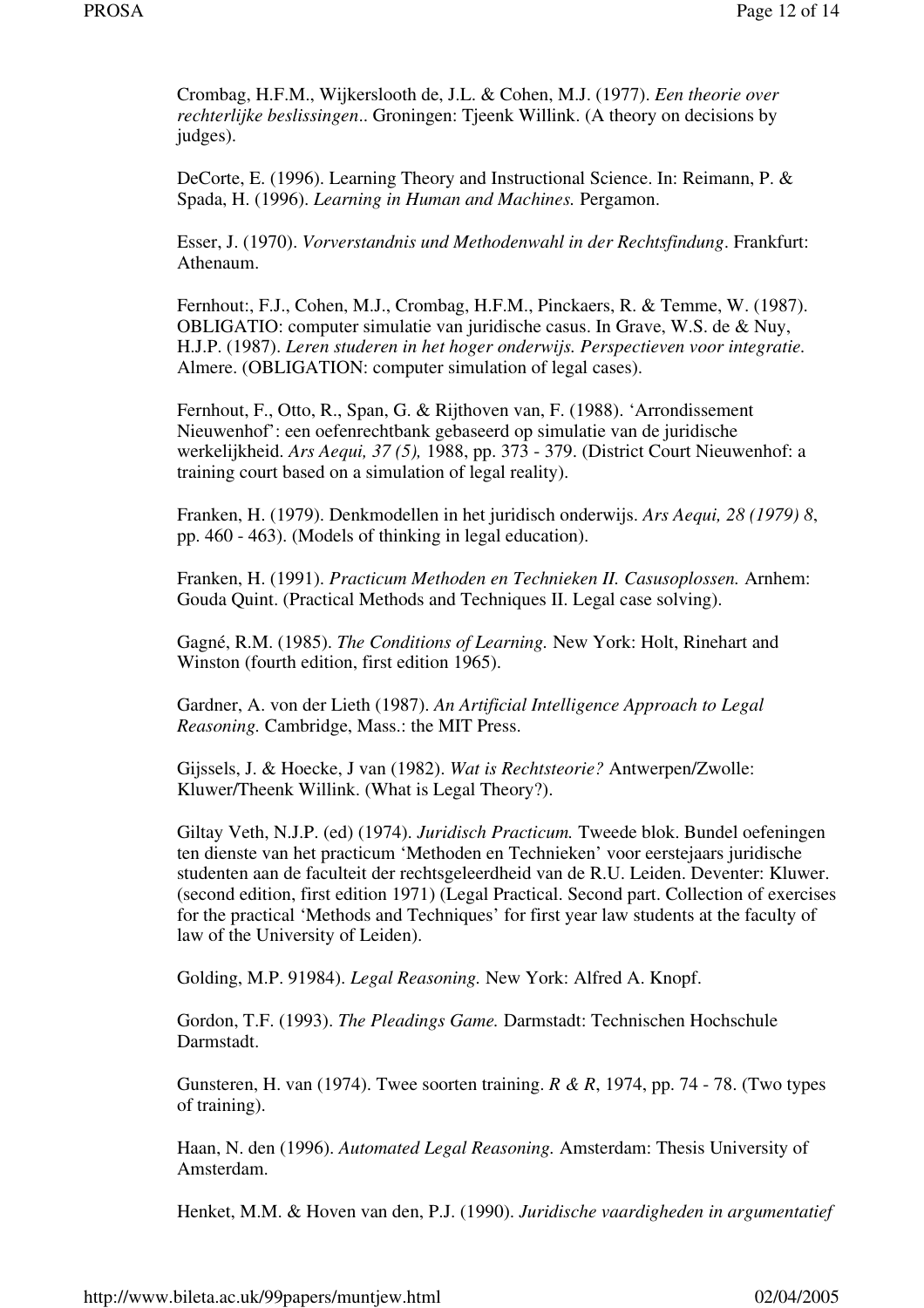Crombag, H.F.M., Wijkerslooth de, J.L. & Cohen, M.J. (1977). *Een theorie over rechterlijke beslissingen*.. Groningen: Tjeenk Willink. (A theory on decisions by judges).

DeCorte, E. (1996). Learning Theory and Instructional Science. In: Reimann, P. & Spada, H. (1996). *Learning in Human and Machines.* Pergamon.

Esser, J. (1970). *Vorverstandnis und Methodenwahl in der Rechtsfindung*. Frankfurt: Athenaum.

Fernhout:, F.J., Cohen, M.J., Crombag, H.F.M., Pinckaers, R. & Temme, W. (1987). OBLIGATIO: computer simulatie van juridische casus. In Grave, W.S. de & Nuy, H.J.P. (1987). *Leren studeren in het hoger onderwijs. Perspectieven voor integratie.* Almere. (OBLIGATION: computer simulation of legal cases).

Fernhout, F., Otto, R., Span, G. & Rijthoven van, F. (1988). 'Arrondissement Nieuwenhof': een oefenrechtbank gebaseerd op simulatie van de juridische werkelijkheid. *Ars Aequi, 37 (5),* 1988, pp. 373 - 379. (District Court Nieuwenhof: a training court based on a simulation of legal reality).

Franken, H. (1979). Denkmodellen in het juridisch onderwijs. *Ars Aequi, 28 (1979) 8*, pp. 460 - 463). (Models of thinking in legal education).

Franken, H. (1991). *Practicum Methoden en Technieken II. Casusoplossen.* Arnhem: Gouda Quint. (Practical Methods and Techniques II. Legal case solving).

Gagné, R.M. (1985). *The Conditions of Learning.* New York: Holt, Rinehart and Winston (fourth edition, first edition 1965).

Gardner, A. von der Lieth (1987). *An Artificial Intelligence Approach to Legal Reasoning.* Cambridge, Mass.: the MIT Press.

Gijssels, J. & Hoecke, J van (1982). *Wat is Rechtsteorie?* Antwerpen/Zwolle: Kluwer/Theenk Willink. (What is Legal Theory?).

Giltay Veth, N.J.P. (ed) (1974). *Juridisch Practicum.* Tweede blok. Bundel oefeningen ten dienste van het practicum 'Methoden en Technieken' voor eerstejaars juridische studenten aan de faculteit der rechtsgeleerdheid van de R.U. Leiden. Deventer: Kluwer. (second edition, first edition 1971) (Legal Practical. Second part. Collection of exercises for the practical 'Methods and Techniques' for first year law students at the faculty of law of the University of Leiden).

Golding, M.P. 91984). *Legal Reasoning.* New York: Alfred A. Knopf.

Gordon, T.F. (1993). *The Pleadings Game.* Darmstadt: Technischen Hochschule Darmstadt.

Gunsteren, H. van (1974). Twee soorten training. *R & R*, 1974, pp. 74 - 78. (Two types of training).

Haan, N. den (1996). *Automated Legal Reasoning.* Amsterdam: Thesis University of Amsterdam.

Henket, M.M. & Hoven van den, P.J. (1990). *Juridische vaardigheden in argumentatief*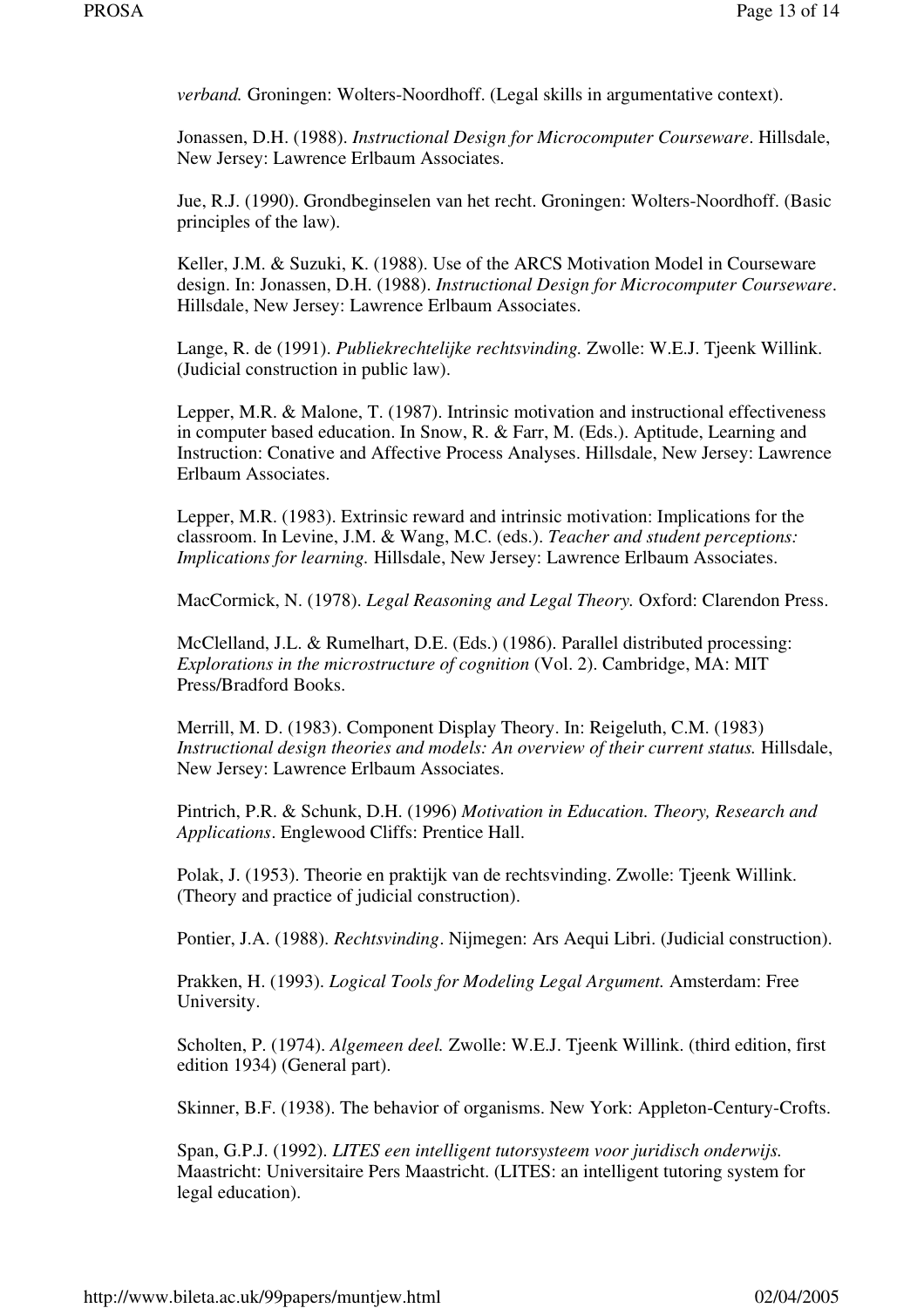*verband.* Groningen: Wolters-Noordhoff. (Legal skills in argumentative context).

Jonassen, D.H. (1988). *Instructional Design for Microcomputer Courseware*. Hillsdale, New Jersey: Lawrence Erlbaum Associates.

Jue, R.J. (1990). Grondbeginselen van het recht. Groningen: Wolters-Noordhoff. (Basic principles of the law).

Keller, J.M. & Suzuki, K. (1988). Use of the ARCS Motivation Model in Courseware design. In: Jonassen, D.H. (1988). *Instructional Design for Microcomputer Courseware*. Hillsdale, New Jersey: Lawrence Erlbaum Associates.

Lange, R. de (1991). *Publiekrechtelijke rechtsvinding.* Zwolle: W.E.J. Tjeenk Willink. (Judicial construction in public law).

Lepper, M.R. & Malone, T. (1987). Intrinsic motivation and instructional effectiveness in computer based education. In Snow, R. & Farr, M. (Eds.). Aptitude, Learning and Instruction: Conative and Affective Process Analyses. Hillsdale, New Jersey: Lawrence Erlbaum Associates.

Lepper, M.R. (1983). Extrinsic reward and intrinsic motivation: Implications for the classroom. In Levine, J.M. & Wang, M.C. (eds.). *Teacher and student perceptions: Implications for learning.* Hillsdale, New Jersey: Lawrence Erlbaum Associates.

MacCormick, N. (1978). *Legal Reasoning and Legal Theory.* Oxford: Clarendon Press.

McClelland, J.L. & Rumelhart, D.E. (Eds.) (1986). Parallel distributed processing: *Explorations in the microstructure of cognition* (Vol. 2). Cambridge, MA: MIT Press/Bradford Books.

Merrill, M. D. (1983). Component Display Theory. In: Reigeluth, C.M. (1983) *Instructional design theories and models: An overview of their current status.* Hillsdale, New Jersey: Lawrence Erlbaum Associates.

Pintrich, P.R. & Schunk, D.H. (1996) *Motivation in Education. Theory, Research and Applications*. Englewood Cliffs: Prentice Hall.

Polak, J. (1953). Theorie en praktijk van de rechtsvinding. Zwolle: Tjeenk Willink. (Theory and practice of judicial construction).

Pontier, J.A. (1988). *Rechtsvinding*. Nijmegen: Ars Aequi Libri. (Judicial construction).

Prakken, H. (1993). *Logical Tools for Modeling Legal Argument.* Amsterdam: Free University.

Scholten, P. (1974). *Algemeen deel.* Zwolle: W.E.J. Tjeenk Willink. (third edition, first edition 1934) (General part).

Skinner, B.F. (1938). The behavior of organisms. New York: Appleton-Century-Crofts.

Span, G.P.J. (1992). *LITES een intelligent tutorsysteem voor juridisch onderwijs.* Maastricht: Universitaire Pers Maastricht. (LITES: an intelligent tutoring system for legal education).